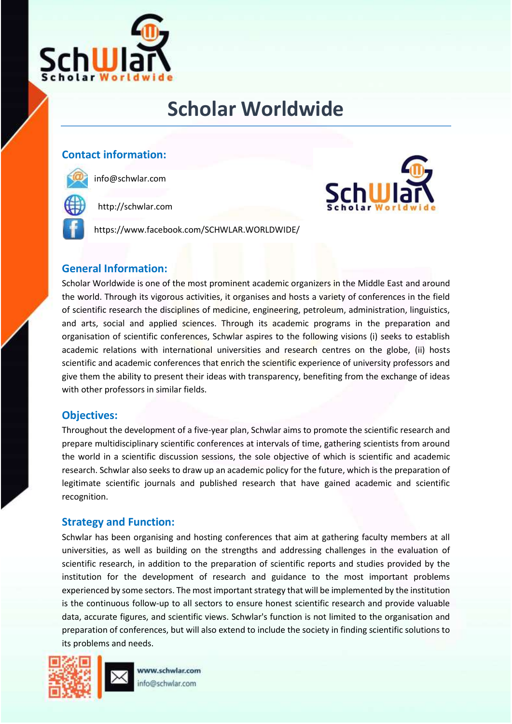

# **Scholar Worldwide**

## **Contact information:**



info@schwlar.com

http://schwlar.com

https://www.facebook.com/SCHWLAR.WORLDWIDE/



## **General Information:**

Scholar Worldwide is one of the most prominent academic organizers in the Middle East and around the world. Through its vigorous activities, it organises and hosts a variety of conferences in the field of scientific research the disciplines of medicine, engineering, petroleum, administration, linguistics, and arts, social and applied sciences. Through its academic programs in the preparation and organisation of scientific conferences, Schwlar aspires to the following visions (i) seeks to establish academic relations with international universities and research centres on the globe, (ii) hosts scientific and academic conferences that enrich the scientific experience of university professors and give them the ability to present their ideas with transparency, benefiting from the exchange of ideas with other professors in similar fields.

### **Objectives:**

Throughout the development of a five-year plan, Schwlar aims to promote the scientific research and prepare multidisciplinary scientific conferences at intervals of time, gathering scientists from around the world in a scientific discussion sessions, the sole objective of which is scientific and academic research. Schwlar also seeks to draw up an academic policy for the future, which is the preparation of legitimate scientific journals and published research that have gained academic and scientific recognition.

## **Strategy and Function:**

Schwlar has been organising and hosting conferences that aim at gathering faculty members at all universities, as well as building on the strengths and addressing challenges in the evaluation of scientific research, in addition to the preparation of scientific reports and studies provided by the institution for the development of research and guidance to the most important problems experienced by some sectors. The most important strategy that will be implemented by the institution is the continuous follow-up to all sectors to ensure honest scientific research and provide valuable data, accurate figures, and scientific views. Schwlar's function is not limited to the organisation and preparation of conferences, but will also extend to include the society in finding scientific solutions to its problems and needs.



www.schwlar.com info@schwlar.com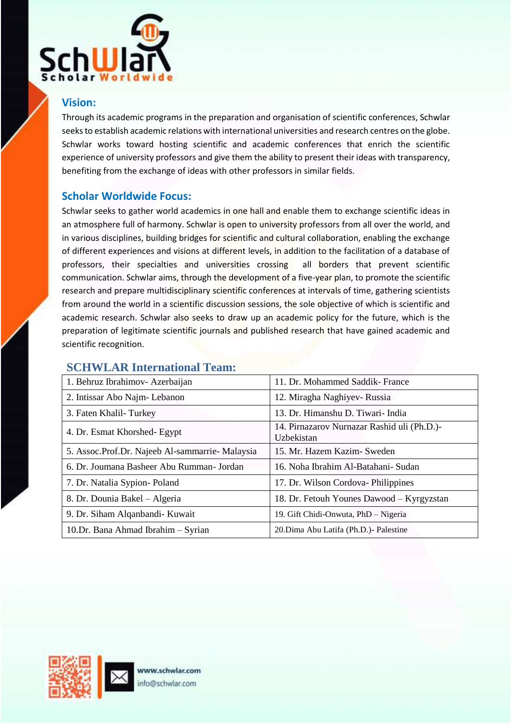

## **Vision:**

Through its academic programs in the preparation and organisation of scientific conferences, Schwlar seeks to establish academic relations with international universities and research centres on the globe. Schwlar works toward hosting scientific and academic conferences that enrich the scientific experience of university professors and give them the ability to present their ideas with transparency, benefiting from the exchange of ideas with other professors in similar fields.

### **Scholar Worldwide Focus:**

Schwlar seeks to gather world academics in one hall and enable them to exchange scientific ideas in an atmosphere full of harmony. Schwlar is open to university professors from all over the world, and in various disciplines, building bridges for scientific and cultural collaboration, enabling the exchange of different experiences and visions at different levels, in addition to the facilitation of a database of professors, their specialties and universities crossing all borders that prevent scientific communication. Schwlar aims, through the development of a five-year plan, to promote the scientific research and prepare multidisciplinary scientific conferences at intervals of time, gathering scientists from around the world in a scientific discussion sessions, the sole objective of which is scientific and academic research. Schwlar also seeks to draw up an academic policy for the future, which is the preparation of legitimate scientific journals and published research that have gained academic and scientific recognition.

## **SCHWLAR International Team:**

| 1. Behruz Ibrahimov- Azerbaijan                 | 11. Dr. Mohammed Saddik- France                           |
|-------------------------------------------------|-----------------------------------------------------------|
| 2. Intissar Abo Najm-Lebanon                    | 12. Miragha Naghiyev- Russia                              |
| 3. Faten Khalil-Turkey                          | 13. Dr. Himanshu D. Tiwari- India                         |
| 4. Dr. Esmat Khorshed- Egypt                    | 14. Pirnazarov Nurnazar Rashid uli (Ph.D.)-<br>Uzbekistan |
| 5. Assoc.Prof.Dr. Najeeb Al-sammarrie- Malaysia | 15. Mr. Hazem Kazim- Sweden                               |
| 6. Dr. Joumana Basheer Abu Rumman- Jordan       | 16. Noha Ibrahim Al-Batahani- Sudan                       |
| 7. Dr. Natalia Sypion-Poland                    | 17. Dr. Wilson Cordova-Philippines                        |
| 8. Dr. Dounia Bakel - Algeria                   | 18. Dr. Fetouh Younes Dawood – Kyrgyzstan                 |
| 9. Dr. Siham Alqanbandi- Kuwait                 | 19. Gift Chidi-Onwuta, PhD - Nigeria                      |
| 10.Dr. Bana Ahmad Ibrahim - Syrian              | 20. Dima Abu Latifa (Ph.D.) - Palestine                   |

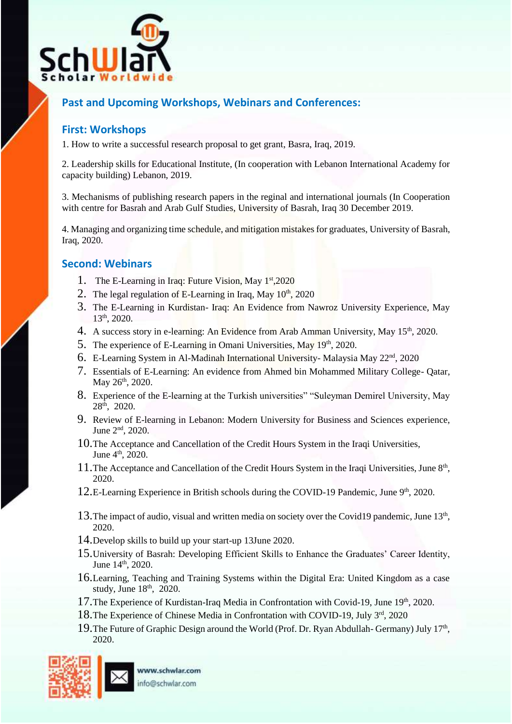

## **Past and Upcoming Workshops, Webinars and Conferences:**

### **First: Workshops**

1. How to write a successful research proposal to get grant, Basra, Iraq, 2019.

2. Leadership skills for Educational Institute, (In cooperation with Lebanon International Academy for capacity building) Lebanon, 2019.

3. Mechanisms of publishing research papers in the reginal and international journals (In Cooperation with centre for Basrah and Arab Gulf Studies, University of Basrah, Iraq 30 December 2019.

4. Managing and organizing time schedule, and mitigation mistakes for graduates, University of Basrah, Iraq, 2020.

### **Second: Webinars**

- 1. The E-Learning in Iraq: Future Vision, May 1<sup>st</sup>,2020
- 2. The legal regulation of E-Learning in Iraq, May  $10<sup>th</sup>$ , 2020
- 3. The E-Learning in Kurdistan- Iraq: An Evidence from Nawroz University Experience, May 13th, 2020.
- 4. A success story in e-learning: An Evidence from Arab Amman University, May 15<sup>th</sup>, 2020.
- 5. The experience of E-Learning in Omani Universities,  $\text{May } 19^{\text{th}}$ , 2020.
- 6. E-Learning System in Al-Madinah International University- Malaysia May 22nd, 2020
- 7. Essentials of E-Learning: An evidence from Ahmed bin Mohammed Military College- Qatar, May 26<sup>th</sup>, 2020.
- 8. Experience of the E-learning at the Turkish universities" "Suleyman Demirel University, May 28th, 2020.
- 9. Review of E-learning in Lebanon: Modern University for Business and Sciences experience, June 2nd, 2020.
- 10.The Acceptance and Cancellation of the Credit Hours System in the Iraqi Universities, June 4<sup>th</sup>, 2020.
- 11. The Acceptance and Cancellation of the Credit Hours System in the Iraqi Universities, June 8<sup>th</sup>, 2020.
- 12.E-Learning Experience in British schools during the COVID-19 Pandemic, June 9<sup>th</sup>, 2020.
- 13. The impact of audio, visual and written media on society over the Covid19 pandemic, June 13<sup>th</sup>, 2020.
- 14.Develop skills to build up your start-up 13June 2020.
- 15.University of Basrah: Developing Efficient Skills to Enhance the Graduates' Career Identity, June 14<sup>th</sup>, 2020.
- 16.Learning, Teaching and Training Systems within the Digital Era: United Kingdom as a case study, June  $18<sup>th</sup>$ , 2020.
- 17. The Experience of Kurdistan-Iraq Media in Confrontation with Covid-19, June 19th, 2020.
- 18.The Experience of Chinese Media in Confrontation with COVID-19, July 3rd, 2020
- 19. The Future of Graphic Design around the World (Prof. Dr. Ryan Abdullah- Germany) July 17<sup>th</sup>, 2020.

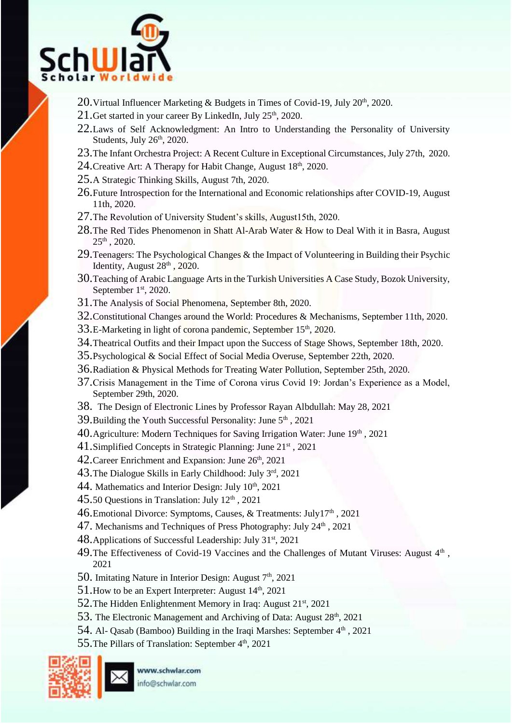

- 20. Virtual Influencer Marketing  $\&$  Budgets in Times of Covid-19, July 20<sup>th</sup>, 2020.
- 21. Get started in your career By LinkedIn, July  $25<sup>th</sup>$ , 2020.
- 22.Laws of Self Acknowledgment: An Intro to Understanding the Personality of University Students, July  $26<sup>th</sup>$ , 2020.
- 23.The Infant Orchestra Project: A Recent Culture in Exceptional Circumstances, July 27th, 2020.
- 24. Creative Art: A Therapy for Habit Change, August  $18<sup>th</sup>$ , 2020.
- 25.A Strategic Thinking Skills, August 7th, 2020.
- 26.Future Introspection for the International and Economic relationships after COVID-19, August 11th, 2020.
- 27.The Revolution of University Student's skills, August15th, 2020.
- 28. The Red Tides Phenomenon in Shatt Al-Arab Water & How to Deal With it in Basra, August 25th , 2020.
- 29. Teenagers: The Psychological Changes & the Impact of Volunteering in Building their Psychic Identity, August  $28<sup>th</sup>$ ,  $2020$ .
- 30.Teaching of Arabic Language Arts in the Turkish Universities A Case Study, Bozok University, September 1st, 2020.
- 31.The Analysis of Social Phenomena, September 8th, 2020.
- 32.Constitutional Changes around the World: Procedures & Mechanisms, September 11th, 2020.
- 33.E-Marketing in light of corona pandemic, September 15<sup>th</sup>, 2020.
- 34. Theatrical Outfits and their Impact upon the Success of Stage Shows, September 18th, 2020.
- 35.Psychological & Social Effect of Social Media Overuse, September 22th, 2020.
- 36.Radiation & Physical Methods for Treating Water Pollution, September 25th, 2020.
- 37.Crisis Management in the Time of Corona virus Covid 19: Jordan's Experience as a Model, September 29th, 2020.
- 38. The Design of Electronic Lines by Professor Rayan Albdullah: May 28, 2021
- 39. Building the Youth Successful Personality: June  $5<sup>th</sup>$ , 2021
- 40. Agriculture: Modern Techniques for Saving Irrigation Water: June 19th, 2021
- 41.Simplified Concepts in Strategic Planning: June 21st , 2021
- 42. Career Enrichment and Expansion: June 26<sup>th</sup>, 2021
- 43.The Dialogue Skills in Early Childhood: July 3rd, 2021
- 44. Mathematics and Interior Design: July  $10<sup>th</sup>$ , 2021
- $45.50$  Questions in Translation: July  $12<sup>th</sup>$ , 2021
- 46. Emotional Divorce: Symptoms, Causes, & Treatments: July17<sup>th</sup>, 2021
- 47. Mechanisms and Techniques of Press Photography: July  $24<sup>th</sup>$ , 2021
- 48. Applications of Successful Leadership: July  $31<sup>st</sup>$ , 2021
- 49. The Effectiveness of Covid-19 Vaccines and the Challenges of Mutant Viruses: August 4<sup>th</sup>, 2021
- 50. Imitating Nature in Interior Design: August 7<sup>th</sup>, 2021
- 51. How to be an Expert Interpreter: August  $14<sup>th</sup>$ , 2021
- 52. The Hidden Enlightenment Memory in Iraq: August 21<sup>st</sup>, 2021
- 53. The Electronic Management and Archiving of Data: August 28<sup>th</sup>, 2021
- 54. Al- Qasab (Bamboo) Building in the Iraqi Marshes: September 4<sup>th</sup>, 2021
- 55. The Pillars of Translation: September 4<sup>th</sup>, 2021



www.schwlar.com info@schwlar.com